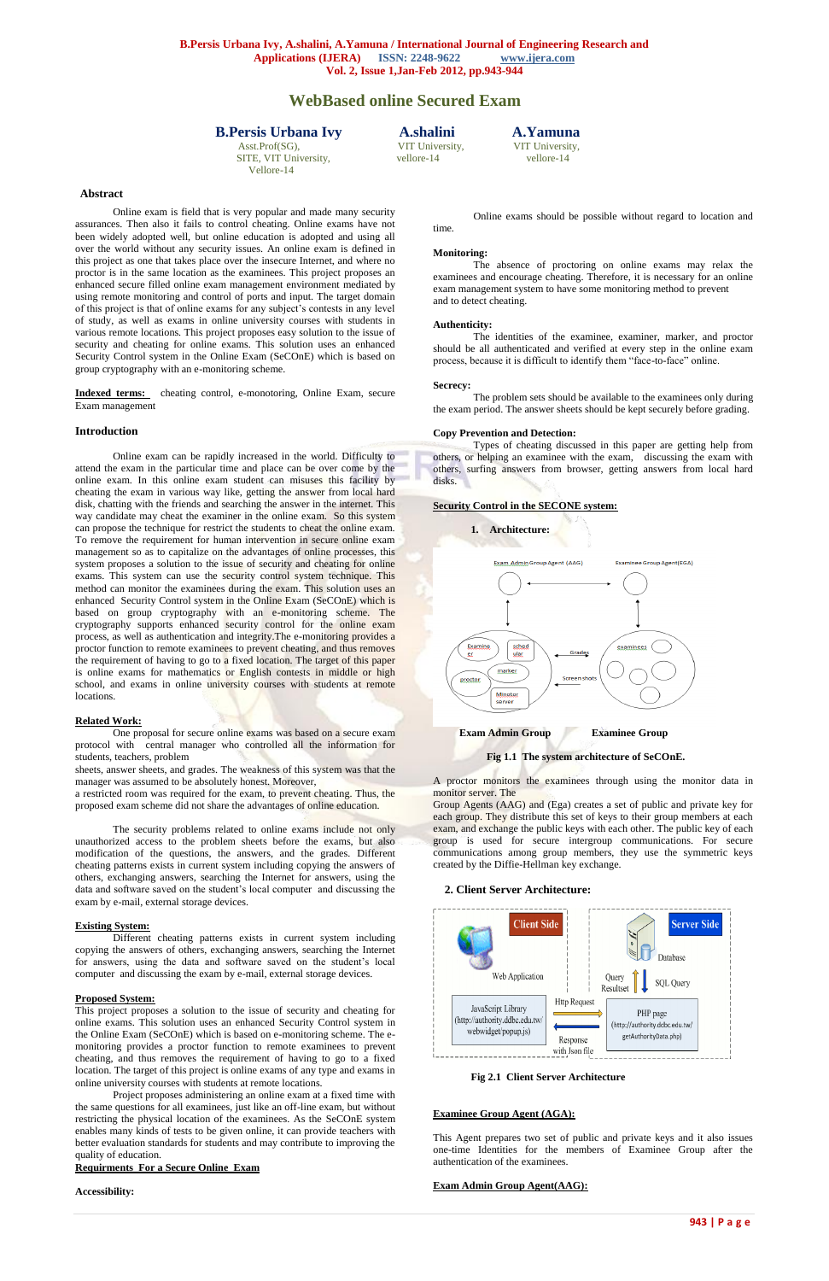SITE, VIT University, vellore-14 vellore-14 vellore-14 Vellore-14

Asst.Prof(SG), VIT University, VIT University,

# **WebBased online Secured Exam**

## **B.Persis Urbana Ivy A.shalini A.Yamuna**

**Abstract**

Online exam is field that is very popular and made many security assurances. Then also it fails to control cheating. Online exams have not been widely adopted well, but online education is adopted and using all over the world without any security issues. An online exam is defined in this project as one that takes place over the insecure Internet, and where no proctor is in the same location as the examinees. This project proposes an enhanced secure filled online exam management environment mediated by using remote monitoring and control of ports and input. The target domain of this project is that of online exams for any subject's contests in any level of study, as well as exams in online university courses with students in various remote locations. This project proposes easy solution to the issue of security and cheating for online exams. This solution uses an enhanced Security Control system in the Online Exam (SeCOnE) which is based on group cryptography with an e-monitoring scheme.

**Indexed terms:** cheating control, e-monotoring, Online Exam, secure Exam management

## **Introduction**

One proposal for secure online exams was based on a secure exam protocol with central manager who controlled all the information for students, teachers, problem

Online exam can be rapidly increased in the world. Difficulty to attend the exam in the particular time and place can be over come by the online exam. In this online exam student can misuses this facility by cheating the exam in various way like, getting the answer from local hard disk, chatting with the friends and searching the answer in the internet. This way candidate may cheat the examiner in the online exam. So this system can propose the technique for restrict the students to cheat the online exam. To remove the requirement for human intervention in secure online exam management so as to capitalize on the advantages of online processes, this system proposes a solution to the issue of security and cheating for online exams. This system can use the security control system technique. This method can monitor the examinees during the exam. This solution uses an enhanced Security Control system in the Online Exam (SeCOnE) which is based on group cryptography with an e-monitoring scheme. The cryptography supports enhanced security control for the online exam process, as well as authentication and integrity.The e-monitoring provides a proctor function to remote examinees to prevent cheating, and thus removes the requirement of having to go to a fixed location. The target of this paper is online exams for mathematics or English contests in middle or high school, and exams in online university courses with students at remote locations.

### **Related Work:**

sheets, answer sheets, and grades. The weakness of this system was that the manager was assumed to be absolutely honest. Moreover,

a restricted room was required for the exam, to prevent cheating. Thus, the proposed exam scheme did not share the advantages of online education.

The security problems related to online exams include not only unauthorized access to the problem sheets before the exams, but also modification of the questions, the answers, and the grades. Different cheating patterns exists in current system including copying the answers of others, exchanging answers, searching the Internet for answers, using the data and software saved on the student's local computer and discussing the exam by e-mail, external storage devices.

### **Existing System:**

Different cheating patterns exists in current system including

copying the answers of others, exchanging answers, searching the Internet for answers, using the data and software saved on the student's local computer and discussing the exam by e-mail, external storage devices.

### **Proposed System:**

This project proposes a solution to the issue of security and cheating for online exams. This solution uses an enhanced Security Control system in the Online Exam (SeCOnE) which is based on e-monitoring scheme. The emonitoring provides a proctor function to remote examinees to prevent cheating, and thus removes the requirement of having to go to a fixed location. The target of this project is online exams of any type and exams in online university courses with students at remote locations.

Project proposes administering an online exam at a fixed time with the same questions for all examinees, just like an off-line exam, but without restricting the physical location of the examinees. As the SeCOnE system enables many kinds of tests to be given online, it can provide teachers with better evaluation standards for students and may contribute to improving the quality of education.

## **Requirments For a Secure Online Exam**

**Accessibility:**

Online exams should be possible without regard to location and time.

#### **Monitoring:**

The absence of proctoring on online exams may relax the examinees and encourage cheating. Therefore, it is necessary for an online exam management system to have some monitoring method to prevent and to detect cheating.

#### **Authenticity:**

The identities of the examinee, examiner, marker, and proctor should be all authenticated and verified at every step in the online exam process, because it is difficult to identify them "face-to-face" online.

#### **Secrecy:**

The problem sets should be available to the examinees only during the exam period. The answer sheets should be kept securely before grading.

#### **Copy Prevention and Detection:**

Types of cheating discussed in this paper are getting help from others, or helping an examinee with the exam, discussing the exam with others, surfing answers from browser, getting answers from local hard disks.

### **Security Control in the SECONE system:**



**Fig 1.1 The system architecture of SeCOnE.**

A proctor monitors the examinees through using the monitor data in monitor server. The

Group Agents (AAG) and (Ega) creates a set of public and private key for each group. They distribute this set of keys to their group members at each exam, and exchange the public keys with each other. The public key of each group is used for secure intergroup communications. For secure communications among group members, they use the symmetric keys created by the Diffie-Hellman key exchange.

#### **2. Client Server Architecture:**





## **Examinee Group Agent (AGA):**

This Agent prepares two set of public and private keys and it also issues one-time Identities for the members of Examinee Group after the authentication of the examinees.

**Exam Admin Group Agent(AAG):**